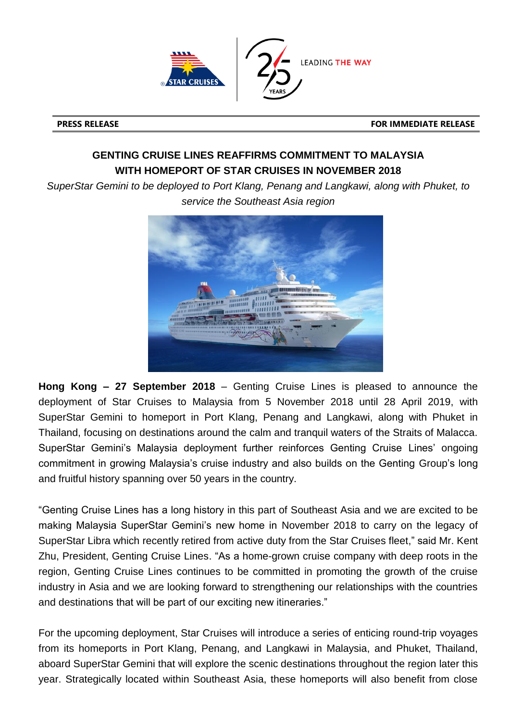

**PRESS RELEASE FOR IMMEDIATE RELEASE**

## **GENTING CRUISE LINES REAFFIRMS COMMITMENT TO MALAYSIA WITH HOMEPORT OF STAR CRUISES IN NOVEMBER 2018**

*SuperStar Gemini to be deployed to Port Klang, Penang and Langkawi, along with Phuket, to service the Southeast Asia region*



**Hong Kong – 27 September 2018** – Genting Cruise Lines is pleased to announce the deployment of Star Cruises to Malaysia from 5 November 2018 until 28 April 2019, with SuperStar Gemini to homeport in Port Klang, Penang and Langkawi, along with Phuket in Thailand, focusing on destinations around the calm and tranquil waters of the Straits of Malacca. SuperStar Gemini's Malaysia deployment further reinforces Genting Cruise Lines' ongoing commitment in growing Malaysia's cruise industry and also builds on the Genting Group's long and fruitful history spanning over 50 years in the country.

"Genting Cruise Lines has a long history in this part of Southeast Asia and we are excited to be making Malaysia SuperStar Gemini's new home in November 2018 to carry on the legacy of SuperStar Libra which recently retired from active duty from the Star Cruises fleet," said Mr. Kent Zhu, President, Genting Cruise Lines. "As a home-grown cruise company with deep roots in the region, Genting Cruise Lines continues to be committed in promoting the growth of the cruise industry in Asia and we are looking forward to strengthening our relationships with the countries and destinations that will be part of our exciting new itineraries."

For the upcoming deployment, Star Cruises will introduce a series of enticing round-trip voyages from its homeports in Port Klang, Penang, and Langkawi in Malaysia, and Phuket, Thailand, aboard SuperStar Gemini that will explore the scenic destinations throughout the region later this year. Strategically located within Southeast Asia, these homeports will also benefit from close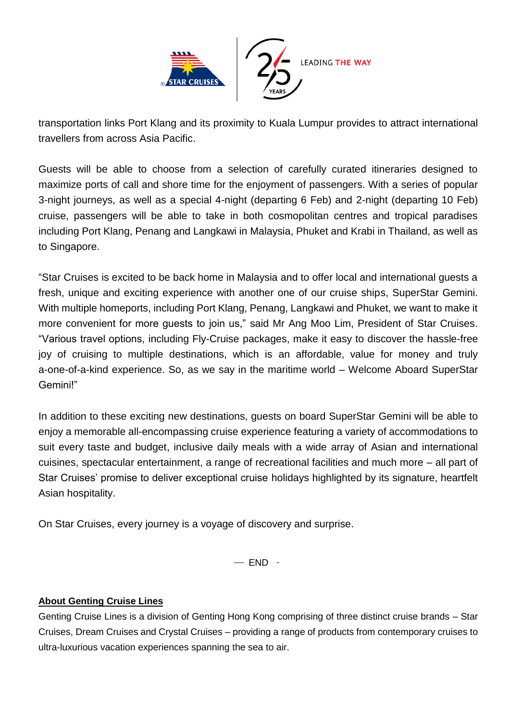

transportation links Port Klang and its proximity to Kuala Lumpur provides to attract international travellers from across Asia Pacific.

Guests will be able to choose from a selection of carefully curated itineraries designed to maximize ports of call and shore time for the enjoyment of passengers. With a series of popular 3-night journeys, as well as a special 4-night (departing 6 Feb) and 2-night (departing 10 Feb) cruise, passengers will be able to take in both cosmopolitan centres and tropical paradises including Port Klang, Penang and Langkawi in Malaysia, Phuket and Krabi in Thailand, as well as to Singapore.

"Star Cruises is excited to be back home in Malaysia and to offer local and international guests a fresh, unique and exciting experience with another one of our cruise ships, SuperStar Gemini. With multiple homeports, including Port Klang, Penang, Langkawi and Phuket, we want to make it more convenient for more guests to join us," said Mr Ang Moo Lim, President of Star Cruises. "Various travel options, including Fly-Cruise packages, make it easy to discover the hassle-free joy of cruising to multiple destinations, which is an affordable, value for money and truly a-one-of-a-kind experience. So, as we say in the maritime world – Welcome Aboard SuperStar Gemini!"

In addition to these exciting new destinations, guests on board SuperStar Gemini will be able to enjoy a memorable all-encompassing cruise experience featuring a variety of accommodations to suit every taste and budget, inclusive daily meals with a wide array of Asian and international cuisines, spectacular entertainment, a range of recreational facilities and much more – all part of Star Cruises' promise to deliver exceptional cruise holidays highlighted by its signature, heartfelt Asian hospitality.

On Star Cruises, every journey is a voyage of discovery and surprise.

 $-$  END  $-$ 

## **About Genting Cruise Lines**

Genting Cruise Lines is a division of Genting Hong Kong comprising of three distinct cruise brands – Star Cruises, Dream Cruises and Crystal Cruises – providing a range of products from contemporary cruises to ultra-luxurious vacation experiences spanning the sea to air.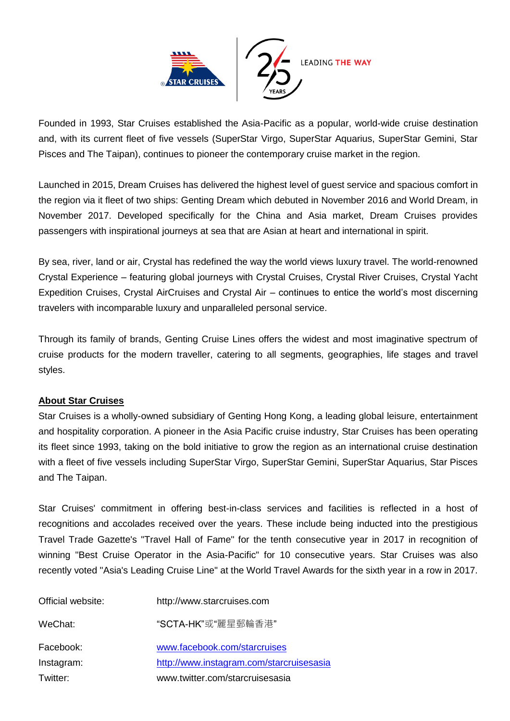

Founded in 1993, Star Cruises established the Asia-Pacific as a popular, world-wide cruise destination and, with its current fleet of five vessels (SuperStar Virgo, SuperStar Aquarius, SuperStar Gemini, Star Pisces and The Taipan), continues to pioneer the contemporary cruise market in the region.

Launched in 2015, Dream Cruises has delivered the highest level of guest service and spacious comfort in the region via it fleet of two ships: Genting Dream which debuted in November 2016 and World Dream, in November 2017. Developed specifically for the China and Asia market, Dream Cruises provides passengers with inspirational journeys at sea that are Asian at heart and international in spirit.

By sea, river, land or air, Crystal has redefined the way the world views luxury travel. The world-renowned Crystal Experience – featuring global journeys with Crystal Cruises, Crystal River Cruises, Crystal Yacht Expedition Cruises, Crystal AirCruises and Crystal Air – continues to entice the world's most discerning travelers with incomparable luxury and unparalleled personal service.

Through its family of brands, Genting Cruise Lines offers the widest and most imaginative spectrum of cruise products for the modern traveller, catering to all segments, geographies, life stages and travel styles.

## **About Star Cruises**

Star Cruises is a wholly-owned subsidiary of Genting Hong Kong, a leading global leisure, entertainment and hospitality corporation. A pioneer in the Asia Pacific cruise industry, Star Cruises has been operating its fleet since 1993, taking on the bold initiative to grow the region as an international cruise destination with a fleet of five vessels including SuperStar Virgo, SuperStar Gemini, SuperStar Aquarius, Star Pisces and The Taipan.

Star Cruises' commitment in offering best-in-class services and facilities is reflected in a host of recognitions and accolades received over the years. These include being inducted into the prestigious Travel Trade Gazette's "Travel Hall of Fame" for the tenth consecutive year in 2017 in recognition of winning "Best Cruise Operator in the Asia-Pacific" for 10 consecutive years. Star Cruises was also recently voted "Asia's Leading Cruise Line" at the World Travel Awards for the sixth year in a row in 2017.

| Official website: | http://www.starcruises.com               |
|-------------------|------------------------------------------|
| WeChat:           | "SCTA-HK"或"麗星郵輪香港"                       |
| Facebook:         | www.facebook.com/starcruises             |
| Instagram:        | http://www.instagram.com/starcruisesasia |
| Twitter:          | www.twitter.com/starcruisesasia          |